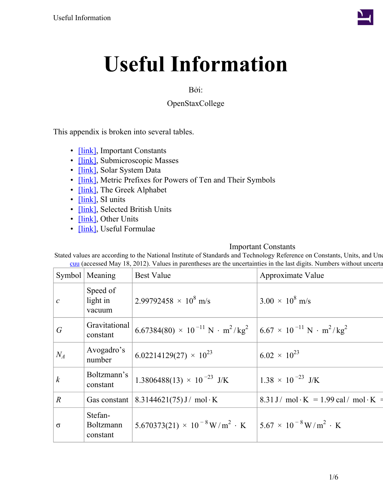

## Bởi:

# OpenStaxCollege

This appendix is broken into several tables.

- **[link]**, Important Constants
- [\[link\],](#page-1-0) Submicroscopic Masses
- *[link]*, Solar System Data
- [\[link\],](#page-2-0) Metric Prefixes for Powers of Ten and Their Symbols
- *[link]*, The Greek Alphabet
- [\[link\],](#page-2-2) SI units
- [\[link\],](#page-3-0) Selected British Units
- [\[link\],](#page-3-1) Other Units
- [\[link\],](#page-5-0) Useful Formulae

#### Important Constants

<span id="page-0-0"></span>Stated values are according to the National Institute of Standards and Technology Reference on Constants, Units, and Un [cuu](http://www.physics.nist.gov/cuu) (accessed May 18, 2012). Values in parentheses are the uncertainties in the last digits. Numbers without uncerta

|                  | Symbol   Meaning                        | <b>Best Value</b>                                                    | Approximate Value                                             |
|------------------|-----------------------------------------|----------------------------------------------------------------------|---------------------------------------------------------------|
| $\mathcal C$     | Speed of<br>light in<br>vacuum          | $2.99792458 \times 10^8$ m/s                                         | $3.00 \times 10^8$ m/s                                        |
| $\overline{G}$   | Gravitational<br>constant               | $6.67384(80) \times 10^{-11} \text{ N} \cdot \text{m}^2/\text{kg}^2$ | $6.67 \times 10^{-11} \text{ N} \cdot \text{m}^2/\text{kg}^2$ |
| $N_A$            | Avogadro's<br>number                    | $6.02214129(27) \times 10^{23}$                                      | $6.02 \times 10^{23}$                                         |
| $\boldsymbol{k}$ | Boltzmann's<br>constant                 | $1.3806488(13) \times 10^{-23}$ J/K                                  | $1.38 \times 10^{-23}$ J/K                                    |
| $\mathbb{R}$     | Gas constant                            | $8.3144621(75)$ J / mol · K                                          | 8.31 J/ mol·K = 1.99 cal/ mol·K =                             |
| $\sigma$         | Stefan-<br><b>Boltzmann</b><br>constant | $5.670373(21) \times 10^{-8} \,\mathrm{W/m^2 \cdot K}$               | $5.67 \times 10^{-8} \,\mathrm{W/m}^2 \cdot \mathrm{K}$       |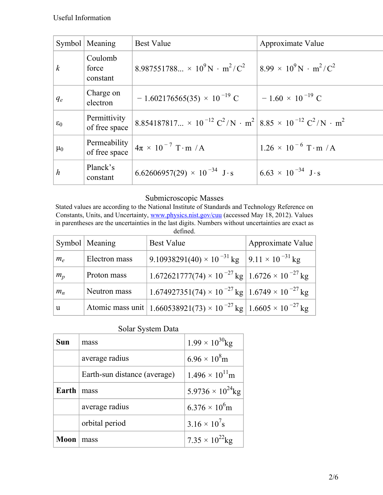|                  | Symbol   Meaning              | <b>Best Value</b>                                                                                                                            | Approximate Value                                     |
|------------------|-------------------------------|----------------------------------------------------------------------------------------------------------------------------------------------|-------------------------------------------------------|
| $\boldsymbol{k}$ | Coulomb<br>force<br>constant  | 8.987551788 $\times$ 10 <sup>9</sup> N · m <sup>2</sup> /C <sup>2</sup>                                                                      | $8.99 \times 10^9$ N · m <sup>2</sup> /C <sup>2</sup> |
| $q_e$            | Charge on<br>electron         | $-1.602176565(35) \times 10^{-19}$ C                                                                                                         | $-1.60 \times 10^{-19}$ C                             |
| $\varepsilon_0$  | Permittivity<br>of free space | 8.854187817 $\times$ 10 <sup>-12</sup> C <sup>2</sup> /N · m <sup>2</sup> 8.85 $\times$ 10 <sup>-12</sup> C <sup>2</sup> /N · m <sup>2</sup> |                                                       |
| $\mu_0$          | Permeability<br>of free space | $4\pi \times 10^{-7}$ T·m /A                                                                                                                 | $1.26 \times 10^{-6}$ T·m /A                          |
| $\boldsymbol{h}$ | Planck's<br>constant          | 6.62606957(29) $\times$ 10 <sup>-34</sup> J·s                                                                                                | $6.63 \times 10^{-34}$ J·s                            |

## Submicroscopic Masses

<span id="page-1-0"></span>Stated values are according to the National Institute of Standards and Technology Reference on Constants, Units, and Uncertainty, [www.physics.nist.gov/cuu](http://www.physics.nist.gov/cuu) (accessed May 18, 2012). Values in parentheses are the uncertainties in the last digits. Numbers without uncertainties are exact as defined.

|       | Symbol   Meaning | <b>Best Value</b>                                                                         | Approximate Value |
|-------|------------------|-------------------------------------------------------------------------------------------|-------------------|
| $m_e$ | Electron mass    | 9.10938291(40) × 10 <sup>-31</sup> kg $\left[9.11 \times 10^{-31} \text{ kg}\right]$      |                   |
| $m_p$ | Proton mass      | $1.672621777(74) \times 10^{-27}$ kg $\vert 1.6726 \times 10^{-27}$ kg                    |                   |
| $m_n$ | Neutron mass     | $1.674927351(74) \times 10^{-27}$ kg $\left[ 1.6749 \times 10^{-27}$ kg                   |                   |
| u     |                  | Atomic mass unit   1.660538921(73) × 10 <sup>-27</sup> kg   1.6605 × 10 <sup>-27</sup> kg |                   |

|  | Solar System Data |  |
|--|-------------------|--|
|--|-------------------|--|

<span id="page-1-1"></span>

| Sun   | mass                         | $1.99 \times 10^{30}$ kg            |
|-------|------------------------------|-------------------------------------|
|       | average radius               | $6.96 \times 10^8$ m                |
|       | Earth-sun distance (average) | $1.496 \times 10^{11}$ m            |
| Earth | mass                         | 5.9736 $\times$ 10 <sup>24</sup> kg |
|       | average radius               | $6.376 \times 10^{6}$ m             |
|       | orbital period               | $3.16 \times 10^{7}$ s              |
| Moon  | mass                         | $7.35 \times 10^{22}$ kg            |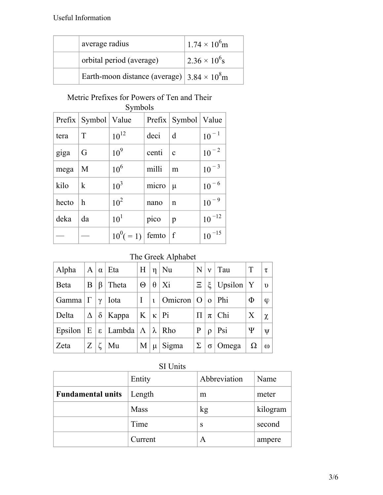| average radius                                     | $1.74 \times 10^6$ m   |
|----------------------------------------------------|------------------------|
| orbital period (average)                           | $2.36 \times 10^{6}$ s |
| Earth-moon distance (average) $3.84 \times 10^8$ m |                        |

#### Metric Prefixes for Powers of Ten and Their Symbols

<span id="page-2-0"></span>

|       | Prefix   Symbol   Value |                        |       | Prefix   Symbol   Value |              |
|-------|-------------------------|------------------------|-------|-------------------------|--------------|
| tera  | T                       | $10^{12}$              | deci  | d                       | $10^{-1}$    |
| giga  | G                       | 10 <sup>9</sup>        | centi | $\mathbf c$             | $10^{-2}$    |
| mega  | M                       | 10 <sup>6</sup>        | milli | m                       | $10^{-3}$    |
| kilo  | $\bf k$                 | 10 <sup>3</sup>        | micro | $\mu$                   | $10^{-6}$    |
| hecto | $\mathbf h$             | 10 <sup>2</sup>        | nano  | n                       | $10^{-9}$    |
| deka  | da                      | 10 <sup>1</sup>        | pico  | $\mathbf{p}$            | $10^{\,-12}$ |
|       |                         | $10^0( = 1)$ femto   f |       |                         | $10^{-15}$   |

# The Greek Alphabet

<span id="page-2-1"></span>

| Alpha                   |   |   | $A   \alpha  $ Eta                                       | H        |          | $\eta \mid Nu$                  | $\mathbf{N}$ | $ v $ Tau                   | T        | ΙT                     |
|-------------------------|---|---|----------------------------------------------------------|----------|----------|---------------------------------|--------------|-----------------------------|----------|------------------------|
| Beta                    | B | β | Theta                                                    | $\Theta$ | $\theta$ | Xi                              |              | $\Xi$   $\xi$   Upsilon   Y |          | $\mathbf{v}$           |
| Gamma $ \Gamma  \gamma$ |   |   | Iota                                                     | $\pm 1$  |          | $\iota$   Omicron   O   o   Phi |              |                             | Φ        | $\boldsymbol{\varphi}$ |
| Delta                   |   |   | $\Delta$   $\delta$   Kappa   K   K   Pi                 |          |          |                                 | $\Pi$        | $\pi$   Chi                 | X        | $\chi$                 |
|                         |   |   | Epsilon $ E  \varepsilon$ Lambda $ \Lambda  \lambda$ Rho |          |          |                                 | P            | $\rho$   Psi                | Ψ        | $\mathbf{V}$           |
| Zeta                    | Z |   | Mu                                                       |          |          | $M \mid \mu \mid$ Sigma         | $\Sigma$     | $\sigma$   Omega            | $\Omega$ | $\omega$               |

# SI Units

<span id="page-2-2"></span>

|                          | Entity  | Abbreviation | Name     |
|--------------------------|---------|--------------|----------|
| <b>Fundamental units</b> | Length  | m            | meter    |
|                          | Mass    | kg           | kilogram |
|                          | Time    | S            | second   |
|                          | Current | А            | ampere   |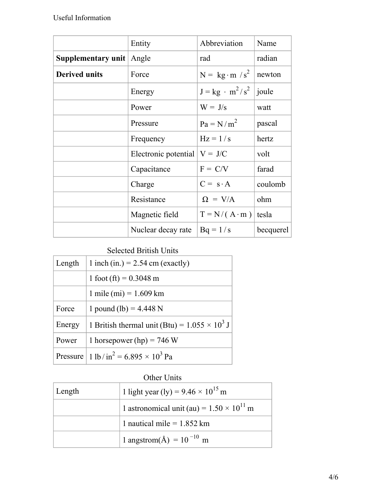|                                 | Entity               | Abbreviation           | Name      |
|---------------------------------|----------------------|------------------------|-----------|
| <b>Supplementary unit</b> Angle |                      | rad                    | radian    |
| <b>Derived units</b>            | Force                | $N = kg \cdot m / s^2$ | newton    |
|                                 | Energy               | $J = kg \cdot m^2/s^2$ | joule     |
|                                 | Power                | $W = J/s$              | watt      |
|                                 | Pressure             | $Pa = N/m2$            | pascal    |
|                                 | Frequency            | $Hz = 1/s$             | hertz     |
|                                 | Electronic potential | $V = J/C$              | volt      |
|                                 | Capacitance          | $F = C/V$              | farad     |
|                                 | Charge               | $C = s \cdot A$        | coulomb   |
|                                 | Resistance           | $\Omega = V/A$         | ohm       |
|                                 | Magnetic field       | $T = N/(A \cdot m)$    | tesla     |
|                                 | Nuclear decay rate   | $Bq = 1/s$             | becquerel |

# Selected British Units

<span id="page-3-0"></span>

| Length | 1 inch (in.) = $2.54$ cm (exactly)                                  |
|--------|---------------------------------------------------------------------|
|        | 1 foot (ft) = $0.3048$ m                                            |
|        | 1 mile (mi) = $1.609$ km                                            |
| Force  | 1 pound (lb) = $4.448$ N                                            |
| Energy | 1 British thermal unit (Btu) = $1.055 \times 10^3$ J                |
| Power  | 1 horsepower (hp) = 746 W                                           |
|        | Pressure   1 lb/in <sup>2</sup> = 6.895 $\times$ 10 <sup>3</sup> Pa |

## Other Units

<span id="page-3-1"></span>

| Length | 1 light year (ly) = $9.46 \times 10^{15}$ m        |
|--------|----------------------------------------------------|
|        | 1 astronomical unit (au) = $1.50 \times 10^{11}$ m |
|        | 1 nautical mile = $1.852$ km                       |
|        | 1 angstrom( $\AA$ ) = 10 <sup>-10</sup> m          |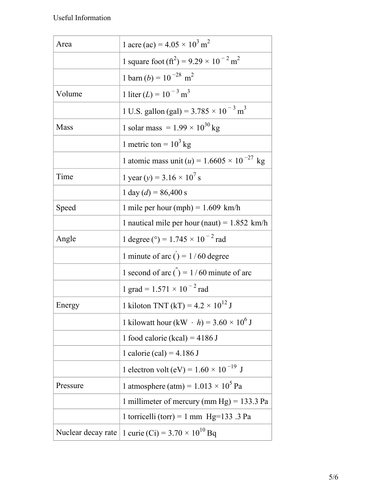| Area               | 1 acre (ac) = $4.05 \times 10^3$ m <sup>2</sup>                                  |
|--------------------|----------------------------------------------------------------------------------|
|                    | 1 square foot (ft <sup>2</sup> ) = 9.29 $\times$ 10 <sup>-2</sup> m <sup>2</sup> |
|                    | 1 barn (b) = $10^{-28}$ m <sup>2</sup>                                           |
| Volume             | 1 liter $(L) = 10^{-3}$ m <sup>3</sup>                                           |
|                    | 1 U.S. gallon (gal) = $3.785 \times 10^{-3}$ m <sup>3</sup>                      |
| Mass               | 1 solar mass = $1.99 \times 10^{30}$ kg                                          |
|                    | 1 metric ton = $10^3$ kg                                                         |
|                    | 1 atomic mass unit ( <i>u</i> ) = $1.6605 \times 10^{-27}$ kg                    |
| Time               | 1 year (y) = $3.16 \times 10^7$ s                                                |
|                    | $1 \text{ day} (d) = 86,400 \text{ s}$                                           |
| Speed              | 1 mile per hour (mph) = $1.609$ km/h                                             |
|                    | 1 nautical mile per hour (naut) = $1.852$ km/h                                   |
| Angle              | 1 degree (°) = $1.745 \times 10^{-2}$ rad                                        |
|                    | 1 minute of arc $() = 1/60$ degree                                               |
|                    | 1 second of arc $\ddot{\text{c}}$ = 1/60 minute of arc                           |
|                    | 1 grad = $1.571 \times 10^{-2}$ rad                                              |
| Energy             | 1 kiloton TNT (kT) = $4.2 \times 10^{12}$ J                                      |
|                    | 1 kilowatt hour (kW · h) = $3.60 \times 10^6$ J                                  |
|                    | 1 food calorie (kcal) = $4186$ J                                                 |
|                    | 1 calorie (cal) = $4.186$ J                                                      |
|                    | 1 electron volt (eV) = $1.60 \times 10^{-19}$ J                                  |
| Pressure           | 1 atmosphere (atm) = $1.013 \times 10^5$ Pa                                      |
|                    | 1 millimeter of mercury (mm Hg) = $133.3$ Pa                                     |
|                    | 1 torricelli (torr) = 1 mm $Hg=133$ .3 Pa                                        |
| Nuclear decay rate | 1 curie (Ci) = $3.70 \times 10^{10}$ Bq                                          |